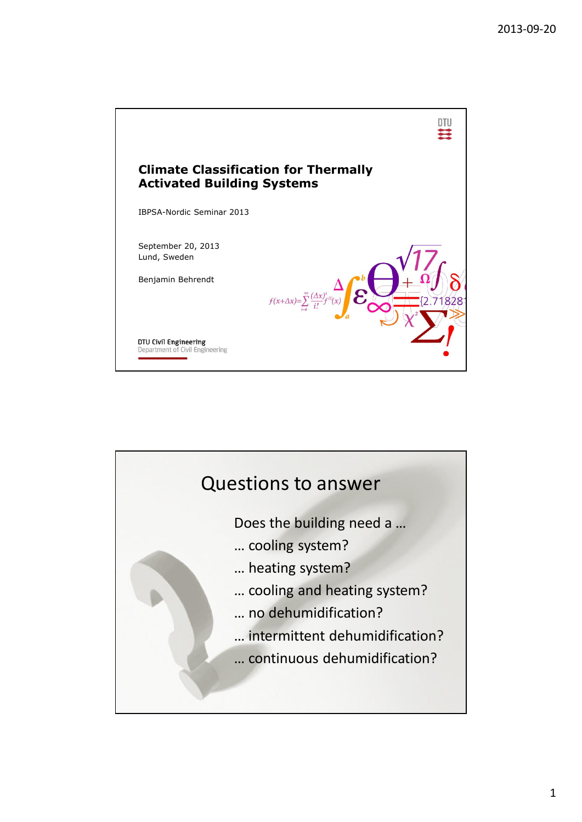

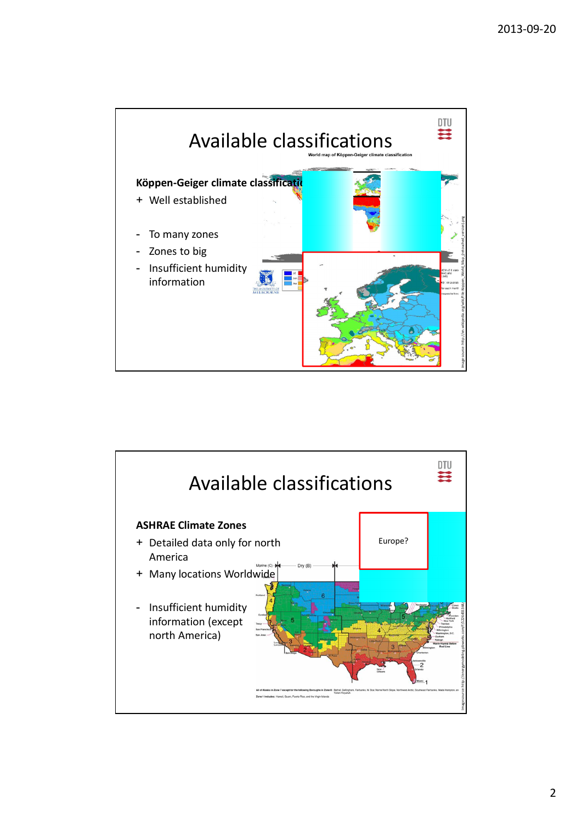

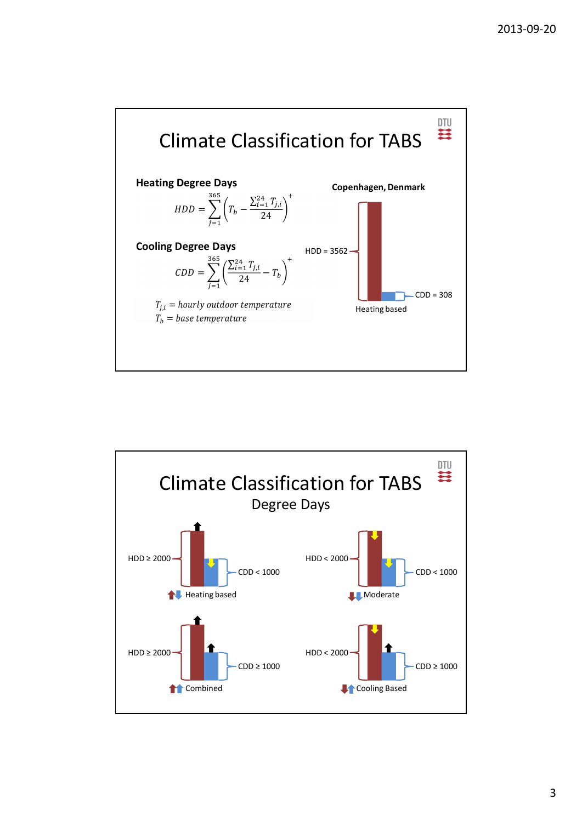

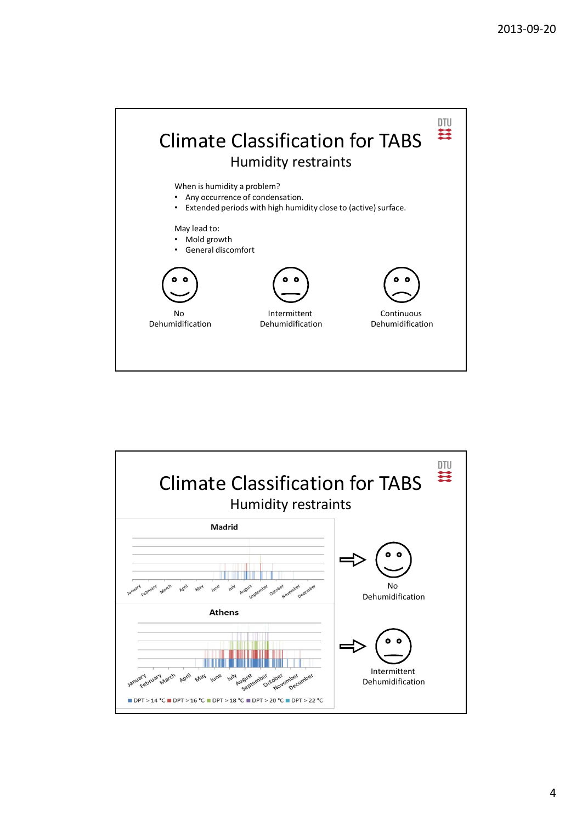

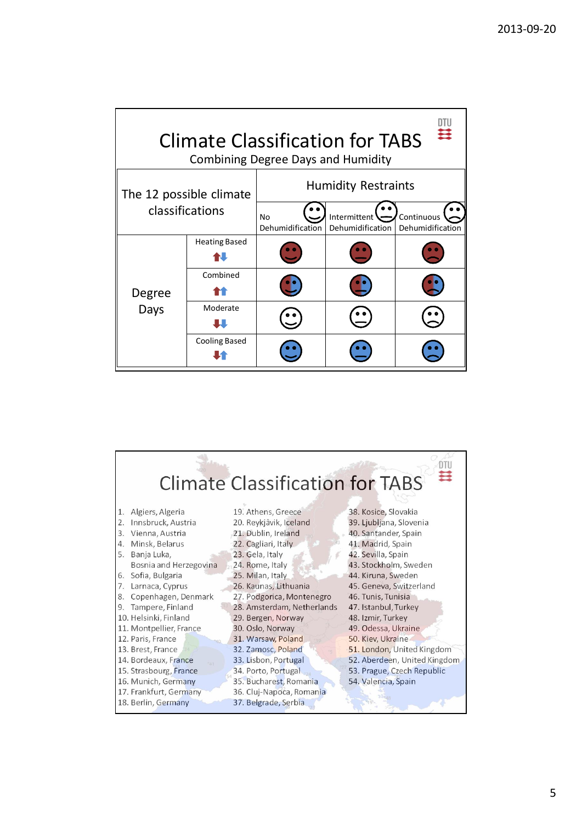| Ξ<br><b>Climate Classification for TABS</b><br><b>Combining Degree Days and Humidity</b> |                      |                            |                                                |                                |
|------------------------------------------------------------------------------------------|----------------------|----------------------------|------------------------------------------------|--------------------------------|
| The 12 possible climate<br>classifications                                               |                      | <b>Humidity Restraints</b> |                                                |                                |
|                                                                                          |                      | No<br>Dehumidification     | Intermittent $\rightarrow$<br>Dehumidification | Continuous<br>Dehumidification |
| Degree<br>Days                                                                           | <b>Heating Based</b> |                            |                                                |                                |
|                                                                                          | Combined             |                            |                                                |                                |
|                                                                                          | Moderate             |                            |                                                |                                |
|                                                                                          | <b>Cooling Based</b> |                            |                                                |                                |

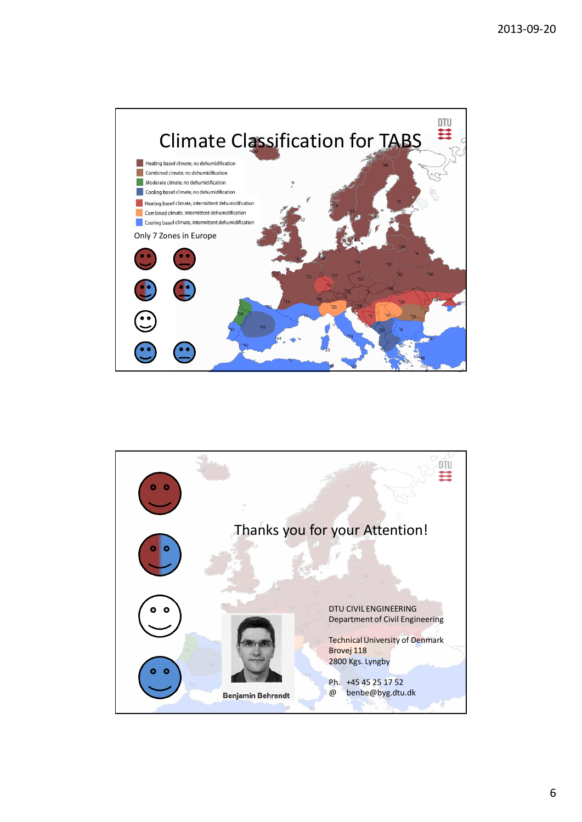